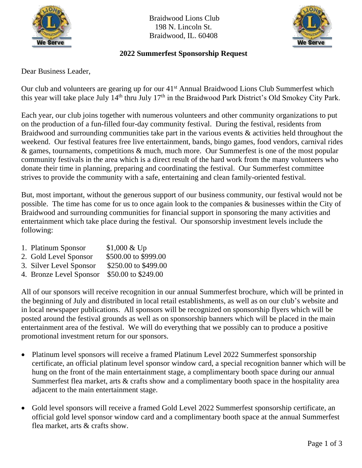

Braidwood Lions Club 198 N. Lincoln St. Braidwood, IL. 60408



## **2022 Summerfest Sponsorship Request**

Dear Business Leader,

Our club and volunteers are gearing up for our 41<sup>st</sup> Annual Braidwood Lions Club Summerfest which this year will take place July 14<sup>th</sup> thru July 17<sup>th</sup> in the Braidwood Park District's Old Smokey City Park.

Each year, our club joins together with numerous volunteers and other community organizations to put on the production of a fun-filled four-day community festival. During the festival, residents from Braidwood and surrounding communities take part in the various events & activities held throughout the weekend. Our festival features free live entertainment, bands, bingo games, food vendors, carnival rides  $\&$  games, tournaments, competitions  $\&$  much, much more. Our Summerfest is one of the most popular community festivals in the area which is a direct result of the hard work from the many volunteers who donate their time in planning, preparing and coordinating the festival. Our Summerfest committee strives to provide the community with a safe, entertaining and clean family-oriented festival.

But, most important, without the generous support of our business community, our festival would not be possible. The time has come for us to once again look to the companies & businesses within the City of Braidwood and surrounding communities for financial support in sponsoring the many activities and entertainment which take place during the festival. Our sponsorship investment levels include the following:

- 1. Platinum Sponsor \$1,000 & Up
- 2. Gold Level Sponsor \$500.00 to \$999.00
- 3. Silver Level Sponsor \$250.00 to \$499.00
- 4. Bronze Level Sponsor \$50.00 to \$249.00

All of our sponsors will receive recognition in our annual Summerfest brochure, which will be printed in the beginning of July and distributed in local retail establishments, as well as on our club's website and in local newspaper publications. All sponsors will be recognized on sponsorship flyers which will be posted around the festival grounds as well as on sponsorship banners which will be placed in the main entertainment area of the festival. We will do everything that we possibly can to produce a positive promotional investment return for our sponsors.

- Platinum level sponsors will receive a framed Platinum Level 2022 Summerfest sponsorship certificate, an official platinum level sponsor window card, a special recognition banner which will be hung on the front of the main entertainment stage, a complimentary booth space during our annual Summerfest flea market, arts & crafts show and a complimentary booth space in the hospitality area adjacent to the main entertainment stage.
- Gold level sponsors will receive a framed Gold Level 2022 Summerfest sponsorship certificate, an official gold level sponsor window card and a complimentary booth space at the annual Summerfest flea market, arts & crafts show.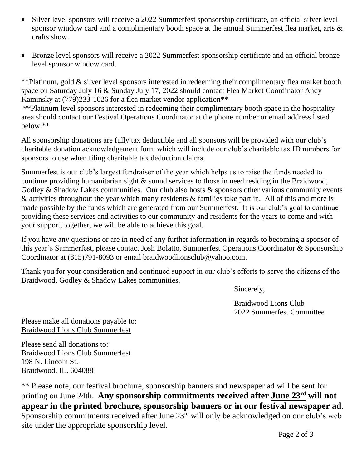- Silver level sponsors will receive a 2022 Summerfest sponsorship certificate, an official silver level sponsor window card and a complimentary booth space at the annual Summerfest flea market, arts & crafts show.
- Bronze level sponsors will receive a 2022 Summerfest sponsorship certificate and an official bronze level sponsor window card.

\*\*Platinum, gold & silver level sponsors interested in redeeming their complimentary flea market booth space on Saturday July 16 & Sunday July 17, 2022 should contact Flea Market Coordinator Andy Kaminsky at (779)233-1026 for a flea market vendor application<sup>\*\*</sup>

\*\*Platinum level sponsors interested in redeeming their complimentary booth space in the hospitality area should contact our Festival Operations Coordinator at the phone number or email address listed below.\*\*

All sponsorship donations are fully tax deductible and all sponsors will be provided with our club's charitable donation acknowledgement form which will include our club's charitable tax ID numbers for sponsors to use when filing charitable tax deduction claims.

Summerfest is our club's largest fundraiser of the year which helps us to raise the funds needed to continue providing humanitarian sight & sound services to those in need residing in the Braidwood, Godley & Shadow Lakes communities. Our club also hosts & sponsors other various community events & activities throughout the year which many residents & families take part in. All of this and more is made possible by the funds which are generated from our Summerfest. It is our club's goal to continue providing these services and activities to our community and residents for the years to come and with your support, together, we will be able to achieve this goal.

If you have any questions or are in need of any further information in regards to becoming a sponsor of this year's Summerfest, please contact Josh Bolatto, Summerfest Operations Coordinator & Sponsorship Coordinator at (815)791-8093 or email braidwoodlionsclub@yahoo.com.

Thank you for your consideration and continued support in our club's efforts to serve the citizens of the Braidwood, Godley & Shadow Lakes communities.

Sincerely,

Braidwood Lions Club 2022 Summerfest Committee

Please make all donations payable to: Braidwood Lions Club Summerfest

Please send all donations to: Braidwood Lions Club Summerfest 198 N. Lincoln St. Braidwood, IL. 604088

\*\* Please note, our festival brochure, sponsorship banners and newspaper ad will be sent for printing on June 24th. Any sponsorship commitments received after **June 23<sup>rd</sup>** will not **appear in the printed brochure, sponsorship banners or in our festival newspaper ad**. Sponsorship commitments received after June 23<sup>rd</sup> will only be acknowledged on our club's web site under the appropriate sponsorship level.